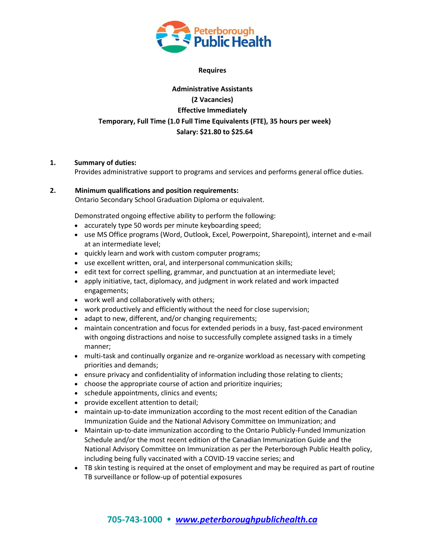

#### **Requires**

# **Administrative Assistants (2 Vacancies) Effective Immediately Temporary, Full Time (1.0 Full Time Equivalents (FTE), 35 hours per week) Salary: \$21.80 to \$25.64**

### **1. Summary of duties:**

Provides administrative support to programs and services and performs general office duties.

# **2. Minimum qualifications and position requirements:**

Ontario Secondary School Graduation Diploma or equivalent.

Demonstrated ongoing effective ability to perform the following:

- accurately type 50 words per minute keyboarding speed;
- use MS Office programs (Word, Outlook, Excel, Powerpoint, Sharepoint), internet and e-mail at an intermediate level;
- quickly learn and work with custom computer programs;
- use excellent written, oral, and interpersonal communication skills;
- edit text for correct spelling, grammar, and punctuation at an intermediate level;
- apply initiative, tact, diplomacy, and judgment in work related and work impacted engagements;
- work well and collaboratively with others;
- work productively and efficiently without the need for close supervision;
- adapt to new, different, and/or changing requirements;
- maintain concentration and focus for extended periods in a busy, fast-paced environment with ongoing distractions and noise to successfully complete assigned tasks in a timely manner;
- multi-task and continually organize and re-organize workload as necessary with competing priorities and demands;
- ensure privacy and confidentiality of information including those relating to clients;
- choose the appropriate course of action and prioritize inquiries;
- schedule appointments, clinics and events;
- provide excellent attention to detail;
- maintain up-to-date immunization according to the most recent edition of the Canadian Immunization Guide and the National Advisory Committee on Immunization; and
- Maintain up-to-date immunization according to the Ontario Publicly-Funded Immunization Schedule and/or the most recent edition of the Canadian Immunization Guide and the National Advisory Committee on Immunization as per the Peterborough Public Health policy, including being fully vaccinated with a COVID-19 vaccine series; and
- TB skin testing is required at the onset of employment and may be required as part of routine TB surveillance or follow-up of potential exposures